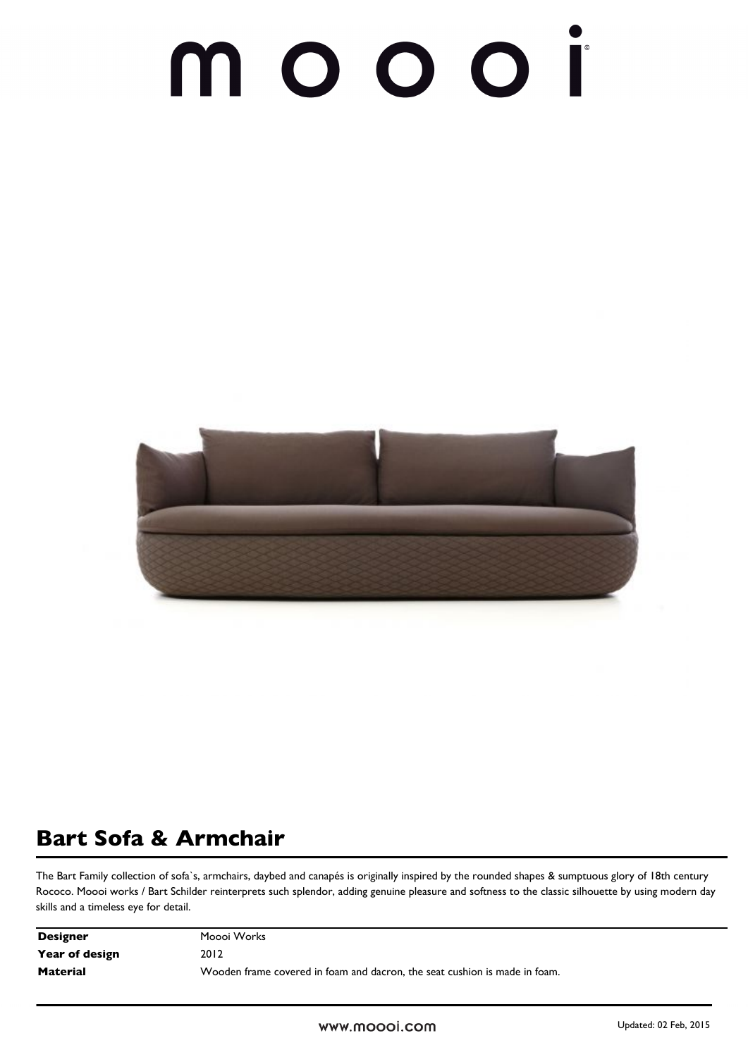## 1 O O O Í



## **Bart Sofa & Armchair**

The Bart Family collection of sofa`s, armchairs, daybed and canapés is originally inspired by the rounded shapes & sumptuous glory of 18th century Rococo. Moooi works / Bart Schilder reinterprets such splendor, adding genuine pleasure and softness to the classic silhouette by using modern day skills and a timeless eye for detail.

| <b>Designer</b> | Moooi Works                                                                |
|-----------------|----------------------------------------------------------------------------|
| Year of design  | 2012                                                                       |
| <b>Material</b> | Wooden frame covered in foam and dacron, the seat cushion is made in foam. |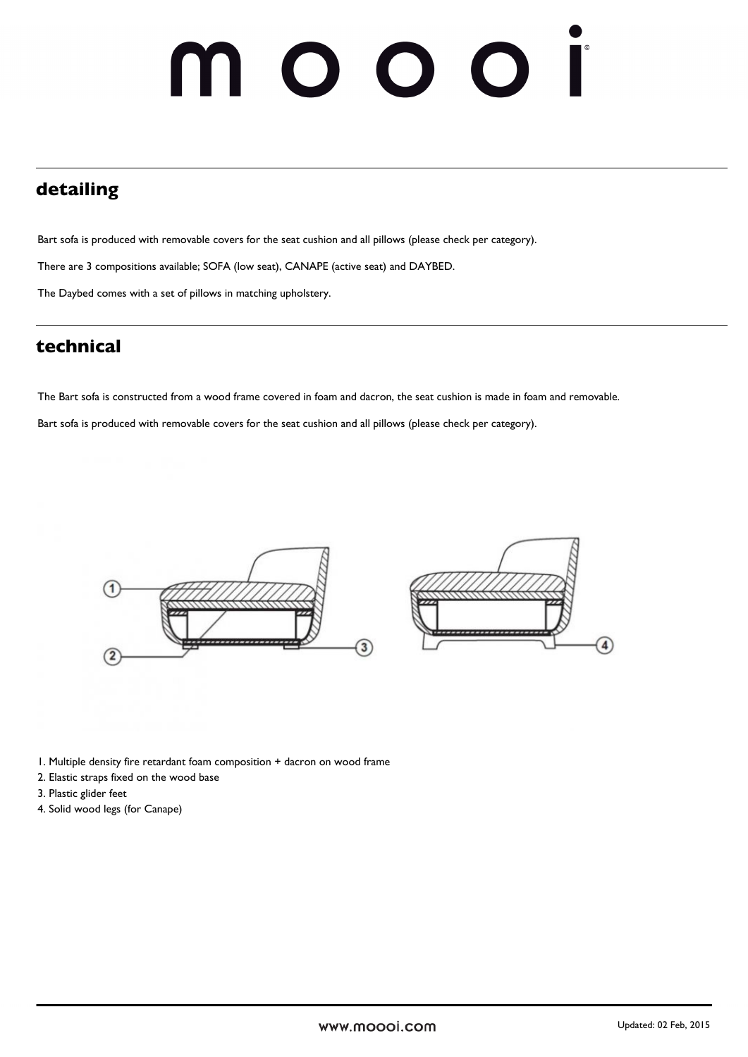## 001 1 O

### **detailing**

Bart sofa is produced with removable covers for the seat cushion and all pillows (please check per category).

There are 3 compositions available; SOFA (low seat), CANAPE (active seat) and DAYBED.

The Daybed comes with a set of pillows in matching upholstery.

### **technical**

The Bart sofa is constructed from a wood frame covered in foam and dacron, the seat cushion is made in foam and removable.

Bart sofa is produced with removable covers for the seat cushion and all pillows (please check per category).



1. Multiple density fire retardant foam composition + dacron on wood frame

- 2. Elastic straps fixed on the wood base
- 3. Plastic glider feet
- 4. Solid wood legs (for Canape)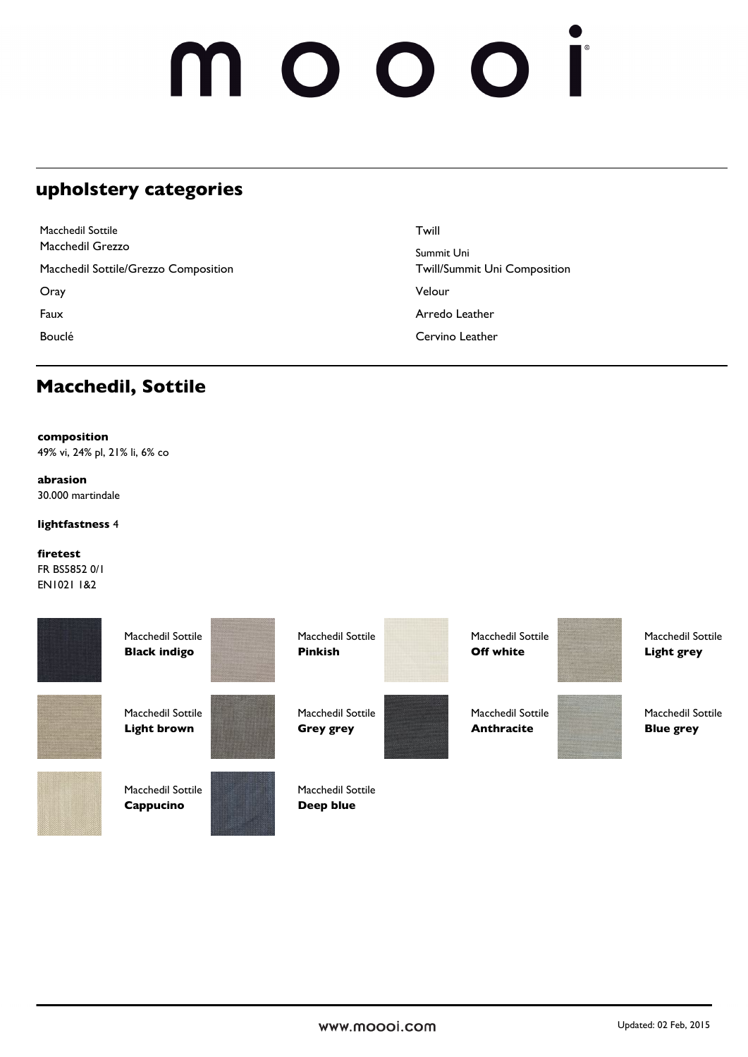## noooi

### **upholstery categories**

| Macchedil Sottile                    | Twill                        |
|--------------------------------------|------------------------------|
| Macchedil Grezzo                     | Summit Uni                   |
| Macchedil Sottile/Grezzo Composition | Twill/Summit Uni Composition |
| Oray                                 | Velour                       |
| Faux                                 | Arredo Leather               |
| Bouclé                               | Cervino Leather              |

### **Macchedil, Sottile**

#### **composition**

49% vi, 24% pl, 21% li, 6% co

#### **abrasion**

30.000 martindale

#### **lightfastness** 4

#### **firetest**

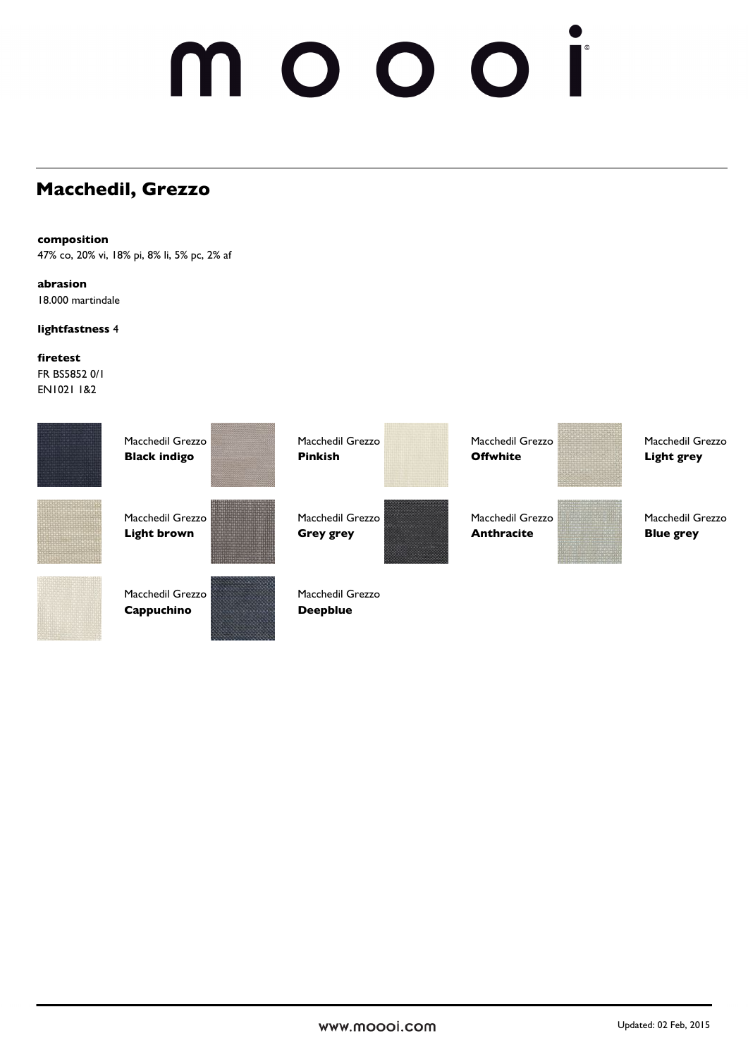## **Macchedil, Grezzo**

#### **composition**

47% co, 20% vi, 18% pi, 8% li, 5% pc, 2% af

### **abrasion**

18.000 martindale

#### **lightfastness** 4

#### **firetest**

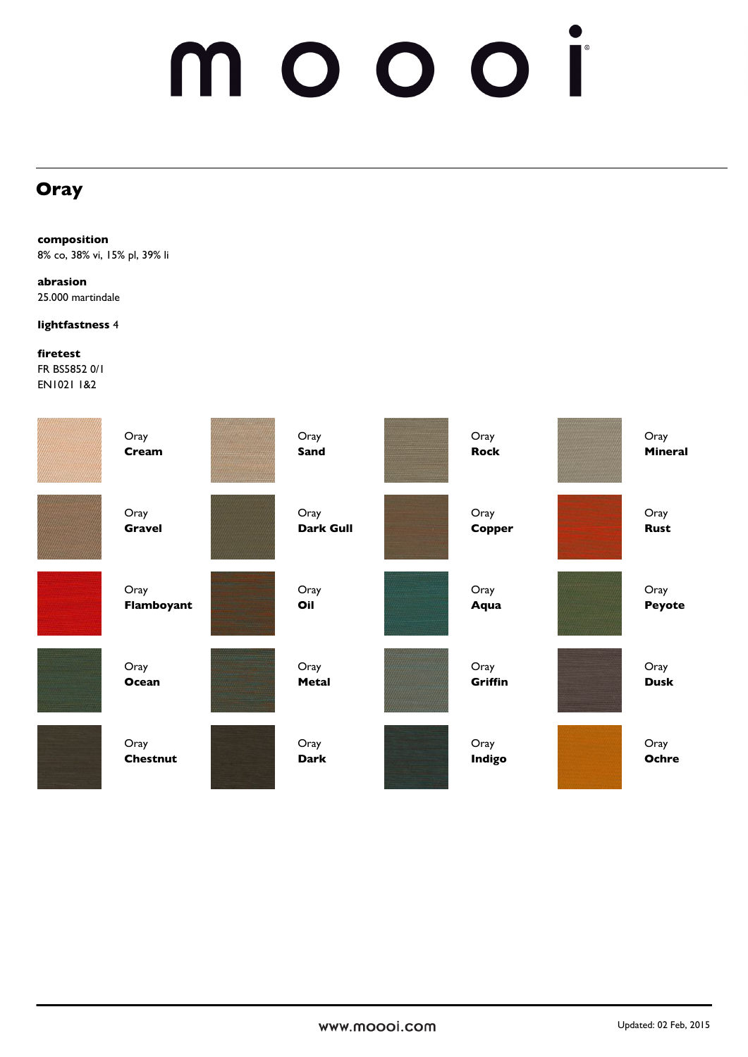# moooi

### **Oray**

**composition** 8% co, 38% vi, 15% pl, 39% li

**abrasion** 25.000 martindale

**lightfastness** 4

**firetest**

| Oray            | Oray             | Oray          | Oray           |
|-----------------|------------------|---------------|----------------|
| Cream           | <b>Sand</b>      | <b>Rock</b>   | <b>Mineral</b> |
| Oray            | Oray             | Oray          | Oray           |
| <b>Gravel</b>   | <b>Dark Gull</b> | Copper        | <b>Rust</b>    |
| Oray            | Oray             | Oray          | Oray           |
| Flamboyant      | Oil              | Aqua          | Peyote         |
| Oray            | Oray             | Oray          | Oray           |
| Ocean           | Metal            | Griffin       | <b>Dusk</b>    |
| Oray            | Oray             | Oray          | Oray           |
| <b>Chestnut</b> | <b>Dark</b>      | <b>Indigo</b> | Ochre          |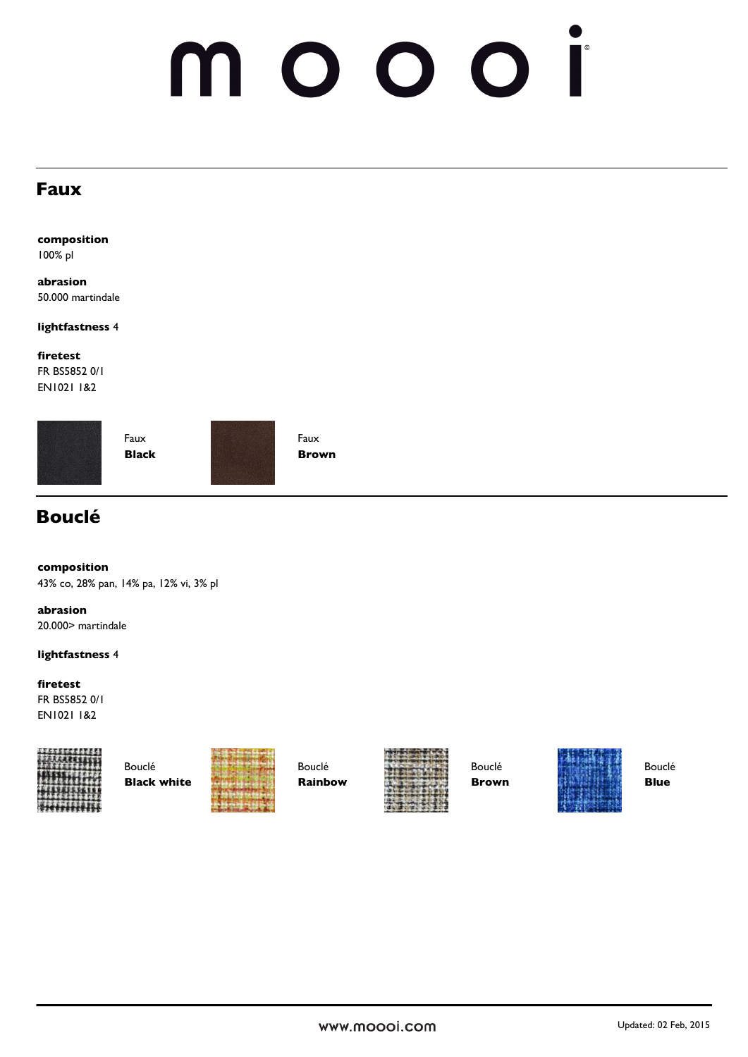### **Faux**

**composition** 100% pl

**abrasion** 50.000 martindale

**lightfastness** 4

**firetest**

FR BS5852 0/1 EN1021 1&2





Faux **Brown**

### **Bouclé**

**composition**

43% co, 28% pan, 14% pa, 12% vi, 3% pl

**abrasion** 20.000> martindale

#### **lightfastness** 4

#### **firetest**

FR BS5852 0/1 EN1021 1&2





Bouclé **Rainbow**



Bouclé **Brown**



Bouclé **Blue**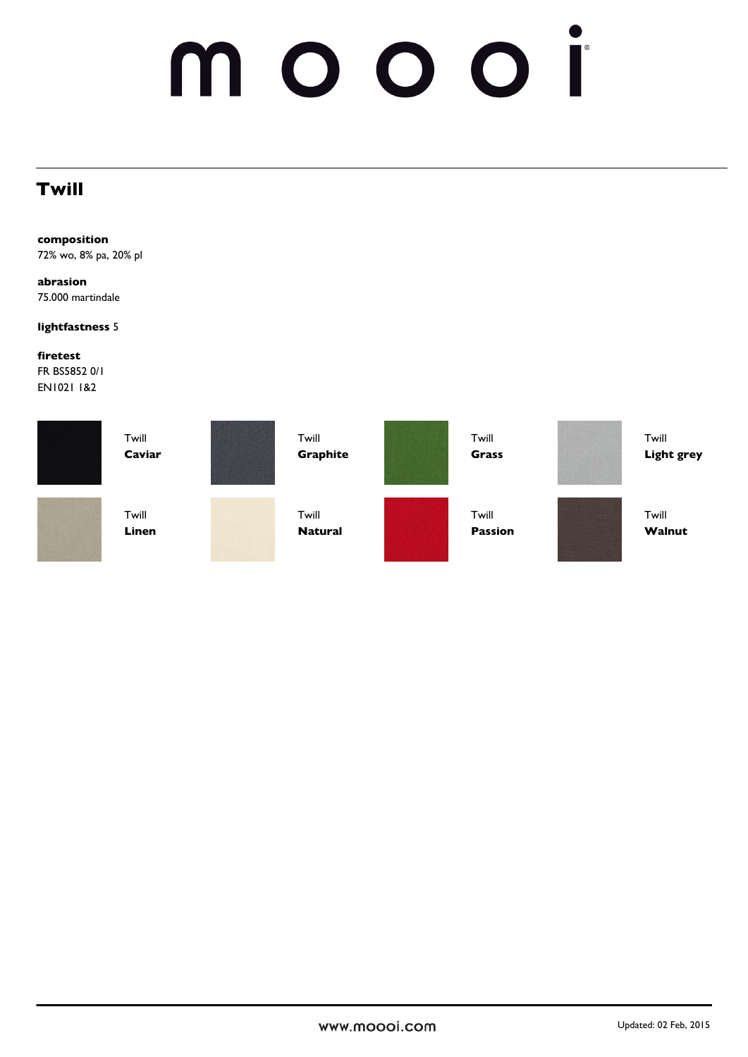### **Twill**

**composition**

72% wo, 8% pa, 20% pl

**abrasion** 75.000 martindale

#### **lightfastness** 5

**firetest**

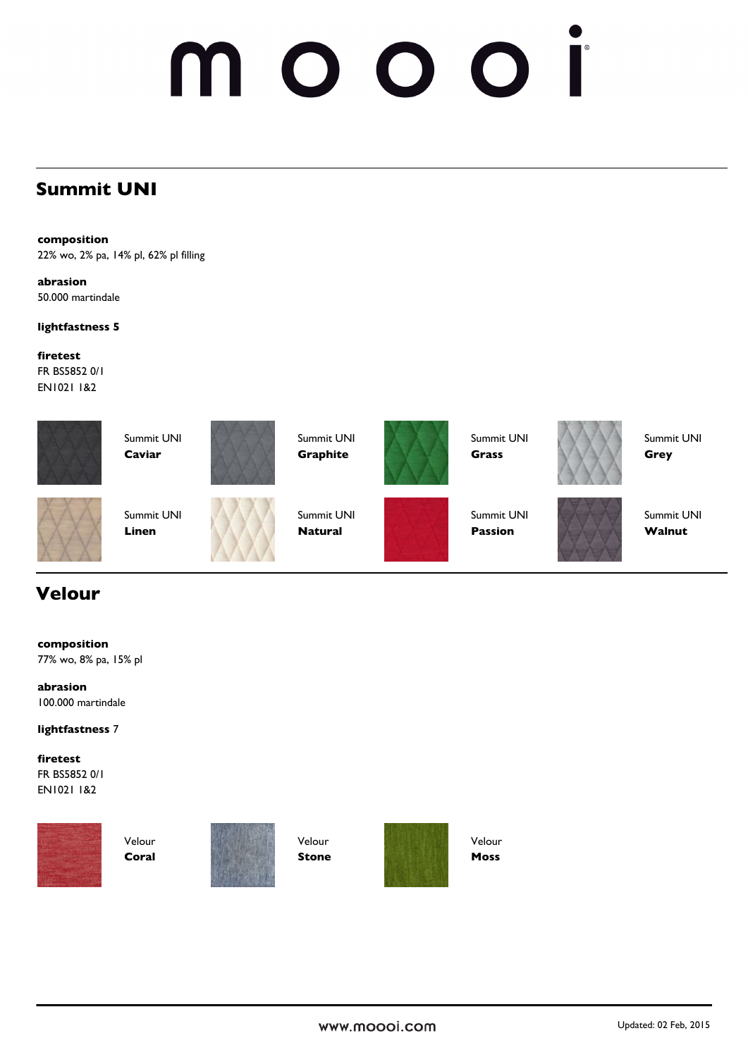### **Summit UNI**

**composition**

22% wo, 2% pa, 14% pl, 62% pl filling

**abrasion** 50.000 martindale

**lightfastness 5**

**firetest** FR BS5852 0/1 EN1021 1&2





Summit UNI **Graphite**



Summit UNI **Grass**



Summit UNI **Grey**

Summit UNI **Linen**

**Caviar**



Summit UNI **Natural**



Summit UNI **Passion**



Summit UNI **Walnut**

## **Velour**

**composition** 77% wo, 8% pa, 15% pl

**abrasion** 100.000 martindale

#### **lightfastness** 7

#### **firetest** FR BS5852 0/1

EN1021 1&2



Velour **Coral**



Velour **Stone**



Velour **Moss**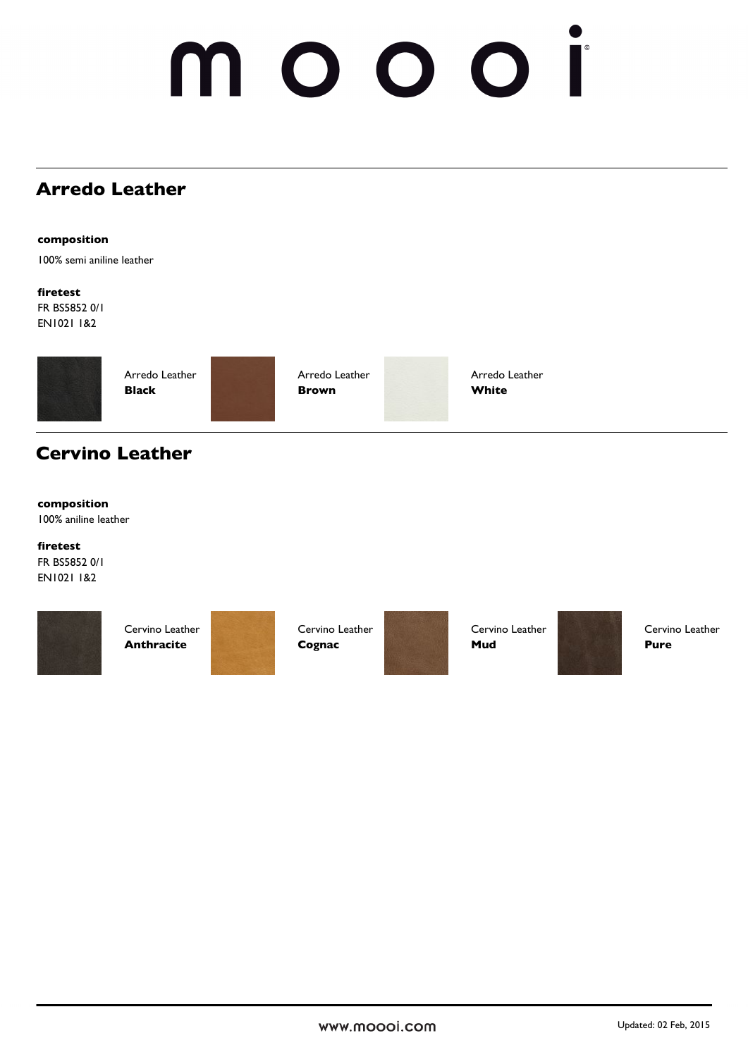## **Arredo Leather**

**composition**

100% semi aniline leather

**firetest** FR BS5852 0/1 EN1021 1&2



Arredo Leather **Brown**

Arredo Leather **White**

## **Cervino Leather**

#### **composition**

100% aniline leather

#### **firetest**

FR BS5852 0/1 EN1021 1&2



Cervino Leather **Anthracite**

Cervino Leather **Cognac**

Cervino Leather **Mud**



Cervino Leather **Pure**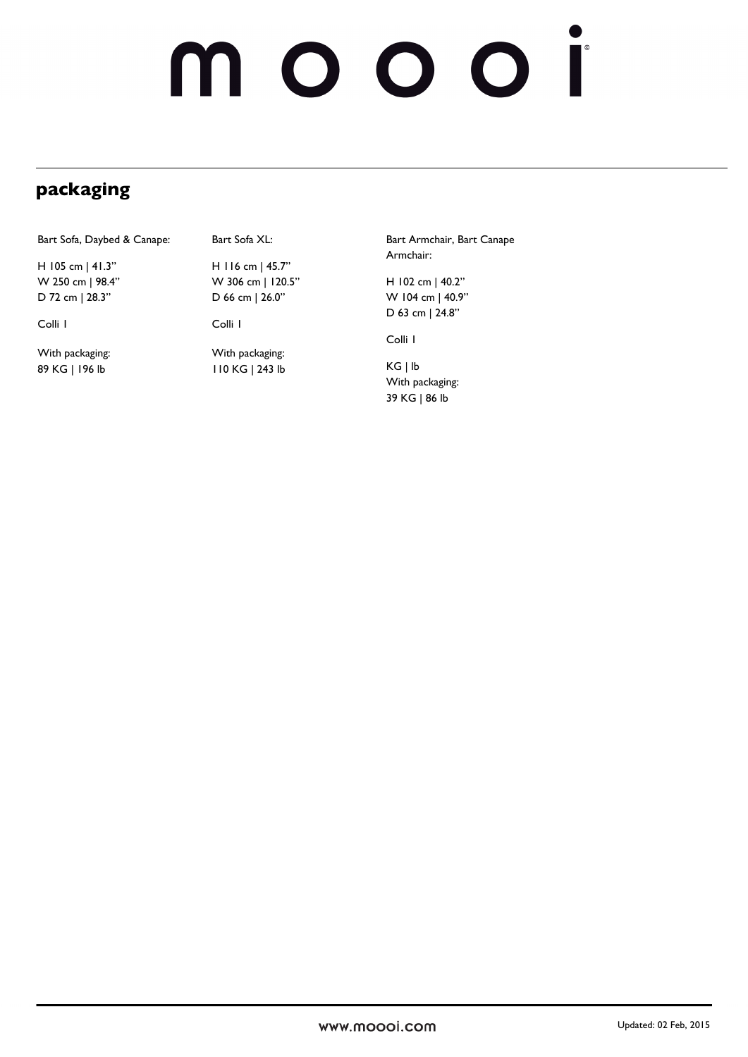## **packaging**

Bart Sofa, Daybed & Canape:

H 105 cm | 41.3" W 250 cm | 98.4" D 72 cm | 28.3"

Colli 1

With packaging: 89 KG | 196 lb

Bart Sofa XL:

H 116 cm | 45.7" W 306 cm | 120.5" D 66 cm | 26.0"

Colli 1

With packaging: 110 KG | 243 lb Bart Armchair, Bart Canape Armchair:

H 102 cm | 40.2" W 104 cm | 40.9" D 63 cm | 24.8"

Colli 1

KG | lb With packaging: 39 KG | 86 lb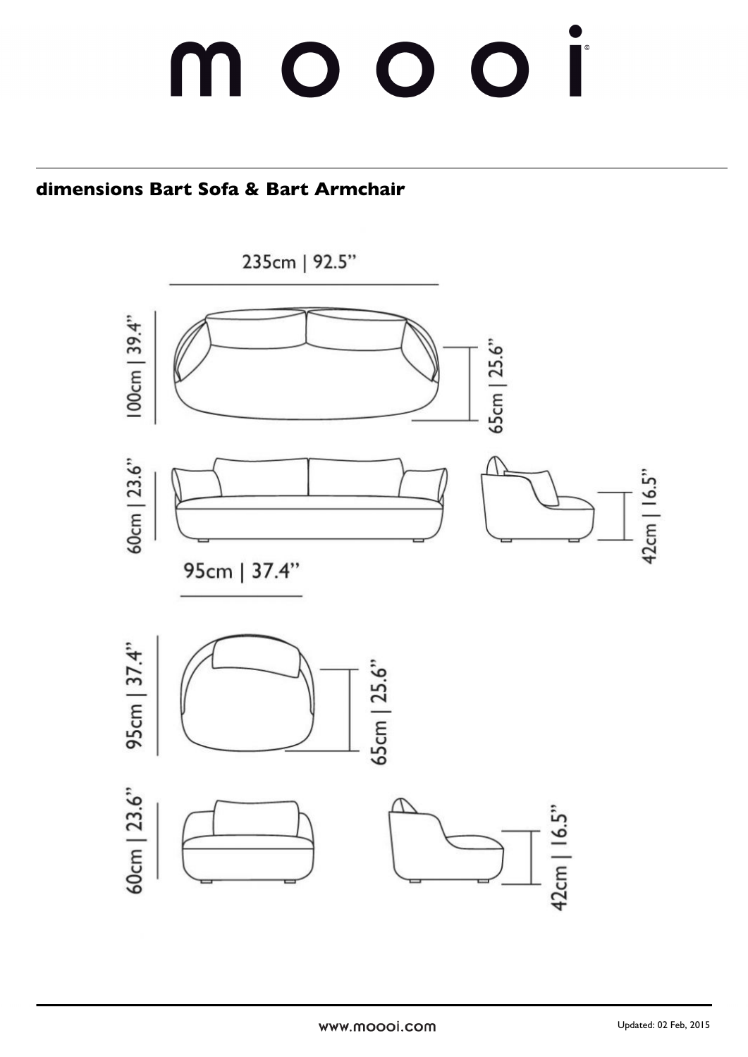## $\bigcap$  $\bigcap$  $\bigcap$

## **dimensions Bart Sofa & Bart Armchair**